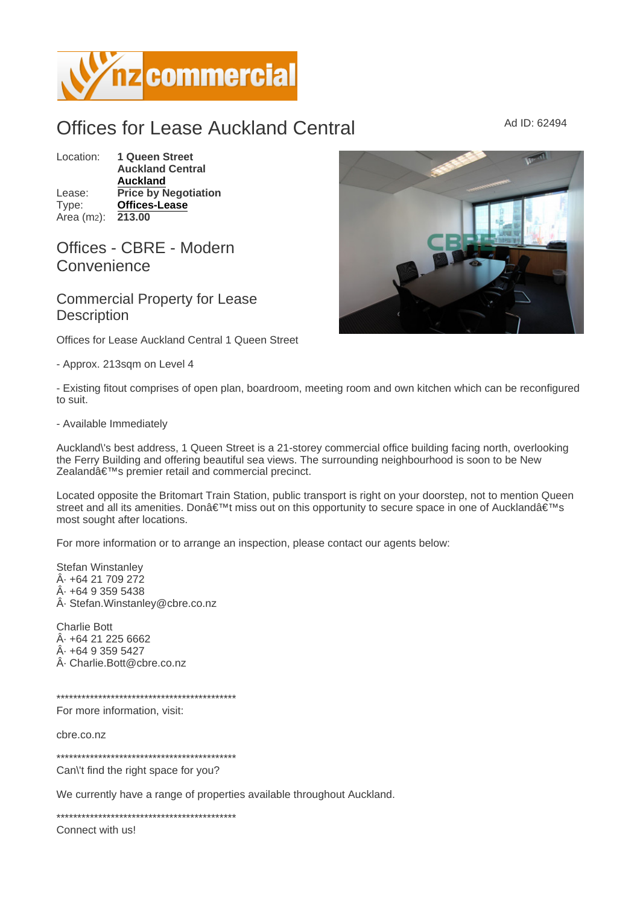## Offices for Lease Auckland Central Marine Ad ID: 62494

Location: 1 Queen Street Auckland Central [Auckland](https://www.nzcommercial.co.nz/commercial-property/location/Auckland) Lease: Price by Negotiation Type: [Offices-Lease](https://www.nzcommercial.co.nz/commercial-property/Offices-Lease/New-Zealand) Area (m<sub>2</sub>): 213.00

## Offices - CBRE - Modern **Convenience**

Commercial Property for Lease **Description** 

Offices for Lease Auckland Central 1 Queen Street

- Approx. 213sqm on Level 4

- Existing fitout comprises of open plan, boardroom, meeting room and own kitchen which can be reconfigured to suit.

- Available Immediately

Auckland\'s best address, 1 Queen Street is a 21-storey commercial office building facing north, overlooking the Ferry Building and offering beautiful sea views. The surrounding neighbourhood is soon to be New Zealand's premier retail and commercial precinct.

Located opposite the Britomart Train Station, public transport is right on your doorstep, not to mention Queen street and all its amenities. Don't miss out on this opportunity to secure space in one of Auckland's most sought after locations.

For more information or to arrange an inspection, please contact our agents below:

Stefan Winstanley  $\hat{A}$  +64 21 709 272  $\hat{A}$  +64 9 359 5438 · Stefan.Winstanley@cbre.co.nz

Charlie Bott  $Å· + 64212256662$  $\hat{A}$  $\cdot$  +64 9 359 5427 · Charlie.Bott@cbre.co.nz

\*\*\*\*\*\*\*\*\*\*\*\*\*\*\*\*\*\*\*\*\*\*\*\*\*\*\*\*\*\*\*\*\*\*\*\*\*\*\*\*\*\*\*

For more information, visit:

cbre.co.nz

\*\*\*\*\*\*\*\*\*\*\*\*\*\*\*\*\*\*\*\*\*\*\*\*\*\*\*\*\*\*\*\*\*\*\*\*\*\*\*\*\*\*\*

Can\'t find the right space for you?

We currently have a range of properties available throughout Auckland.

\*\*\*\*\*\*\*\*\*\*\*\*\*\*\*\*\*\*\*\*\*\*\*\*\*\*\*\*\*\*\*\*\*\*\*\*\*\*\*\*\*\*\*

Connect with us!